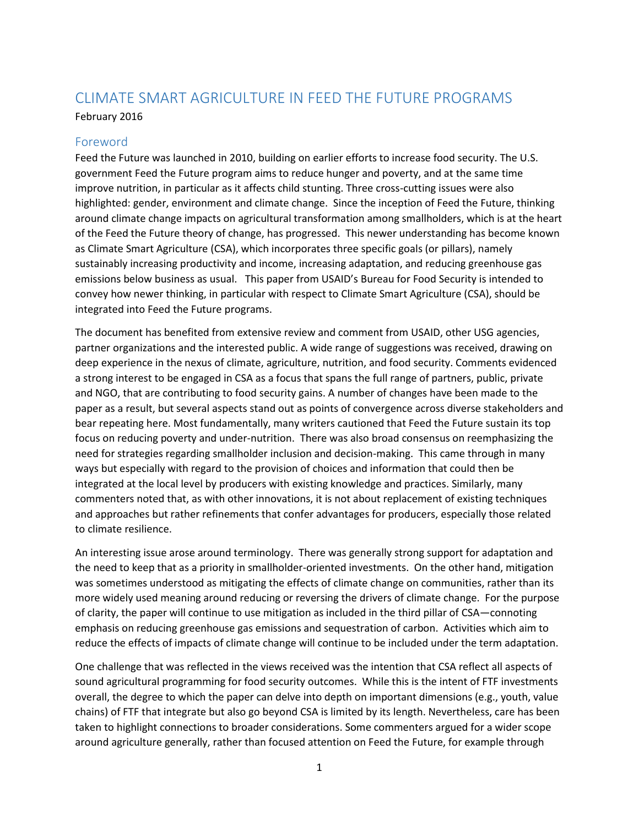# CLIMATE SMART AGRICULTURE IN FEED THE FUTURE PROGRAMS

#### February 2016

#### Foreword

Feed the Future was launched in 2010, building on earlier efforts to increase food security. The U.S. government Feed the Future program aims to reduce hunger and poverty, and at the same time improve nutrition, in particular as it affects child stunting. Three cross-cutting issues were also highlighted: gender, environment and climate change. Since the inception of Feed the Future, thinking around climate change impacts on agricultural transformation among smallholders, which is at the heart of the Feed the Future theory of change, has progressed. This newer understanding has become known as Climate Smart Agriculture (CSA), which incorporates three specific goals (or pillars), namely sustainably increasing productivity and income, increasing adaptation, and reducing greenhouse gas emissions below business as usual. This paper from USAID's Bureau for Food Security is intended to convey how newer thinking, in particular with respect to Climate Smart Agriculture (CSA), should be integrated into Feed the Future programs.

The document has benefited from extensive review and comment from USAID, other USG agencies, partner organizations and the interested public. A wide range of suggestions was received, drawing on deep experience in the nexus of climate, agriculture, nutrition, and food security. Comments evidenced a strong interest to be engaged in CSA as a focus that spans the full range of partners, public, private and NGO, that are contributing to food security gains. A number of changes have been made to the paper as a result, but several aspects stand out as points of convergence across diverse stakeholders and bear repeating here. Most fundamentally, many writers cautioned that Feed the Future sustain its top focus on reducing poverty and under-nutrition. There was also broad consensus on reemphasizing the need for strategies regarding smallholder inclusion and decision-making. This came through in many ways but especially with regard to the provision of choices and information that could then be integrated at the local level by producers with existing knowledge and practices. Similarly, many commenters noted that, as with other innovations, it is not about replacement of existing techniques and approaches but rather refinements that confer advantages for producers, especially those related to climate resilience.

An interesting issue arose around terminology. There was generally strong support for adaptation and the need to keep that as a priority in smallholder-oriented investments. On the other hand, mitigation was sometimes understood as mitigating the effects of climate change on communities, rather than its more widely used meaning around reducing or reversing the drivers of climate change. For the purpose of clarity, the paper will continue to use mitigation as included in the third pillar of CSA—connoting emphasis on reducing greenhouse gas emissions and sequestration of carbon. Activities which aim to reduce the effects of impacts of climate change will continue to be included under the term adaptation.

One challenge that was reflected in the views received was the intention that CSA reflect all aspects of sound agricultural programming for food security outcomes. While this is the intent of FTF investments overall, the degree to which the paper can delve into depth on important dimensions (e.g., youth, value chains) of FTF that integrate but also go beyond CSA is limited by its length. Nevertheless, care has been taken to highlight connections to broader considerations. Some commenters argued for a wider scope around agriculture generally, rather than focused attention on Feed the Future, for example through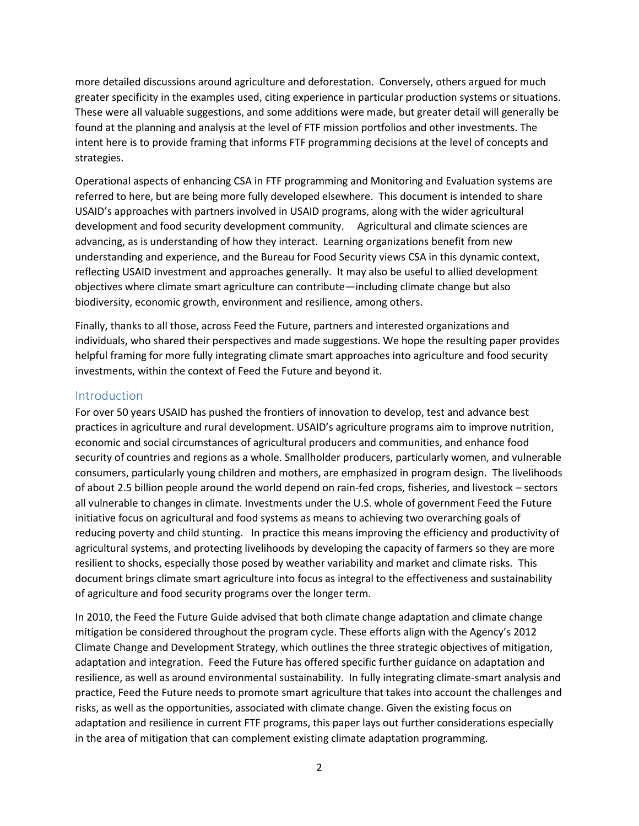more detailed discussions around agriculture and deforestation. Conversely, others argued for much greater specificity in the examples used, citing experience in particular production systems or situations. These were all valuable suggestions, and some additions were made, but greater detail will generally be found at the planning and analysis at the level of FTF mission portfolios and other investments. The intent here is to provide framing that informs FTF programming decisions at the level of concepts and strategies.

Operational aspects of enhancing CSA in FTF programming and Monitoring and Evaluation systems are referred to here, but are being more fully developed elsewhere. This document is intended to share USAID's approaches with partners involved in USAID programs, along with the wider agricultural development and food security development community. Agricultural and climate sciences are advancing, as is understanding of how they interact. Learning organizations benefit from new understanding and experience, and the Bureau for Food Security views CSA in this dynamic context, reflecting USAID investment and approaches generally. It may also be useful to allied development objectives where climate smart agriculture can contribute—including climate change but also biodiversity, economic growth, environment and resilience, among others.

Finally, thanks to all those, across Feed the Future, partners and interested organizations and individuals, who shared their perspectives and made suggestions. We hope the resulting paper provides helpful framing for more fully integrating climate smart approaches into agriculture and food security investments, within the context of Feed the Future and beyond it.

#### Introduction

For over 50 years USAID has pushed the frontiers of innovation to develop, test and advance best practices in agriculture and rural development. USAID's agriculture programs aim to improve nutrition, economic and social circumstances of agricultural producers and communities, and enhance food security of countries and regions as a whole. Smallholder producers, particularly women, and vulnerable consumers, particularly young children and mothers, are emphasized in program design. The livelihoods of about 2.5 billion people around the world depend on rain-fed crops, fisheries, and livestock – sectors all vulnerable to changes in climate. Investments under the U.S. whole of government Feed the Future initiative focus on agricultural and food systems as means to achieving two overarching goals of reducing poverty and child stunting. In practice this means improving the efficiency and productivity of agricultural systems, and protecting livelihoods by developing the capacity of farmers so they are more resilient to shocks, especially those posed by weather variability and market and climate risks. This document brings climate smart agriculture into focus as integral to the effectiveness and sustainability of agriculture and food security programs over the longer term.

In 2010, the Feed the Future Guide advised that both climate change adaptation and climate change mitigation be considered throughout the program cycle. These efforts align with the Agency's 2012 Climate Change and Development Strategy, which outlines the three strategic objectives of mitigation, adaptation and integration. Feed the Future has offered specific further guidance on adaptation and resilience, as well as around environmental sustainability. In fully integrating climate-smart analysis and practice, Feed the Future needs to promote smart agriculture that takes into account the challenges and risks, as well as the opportunities, associated with climate change. Given the existing focus on adaptation and resilience in current FTF programs, this paper lays out further considerations especially in the area of mitigation that can complement existing climate adaptation programming.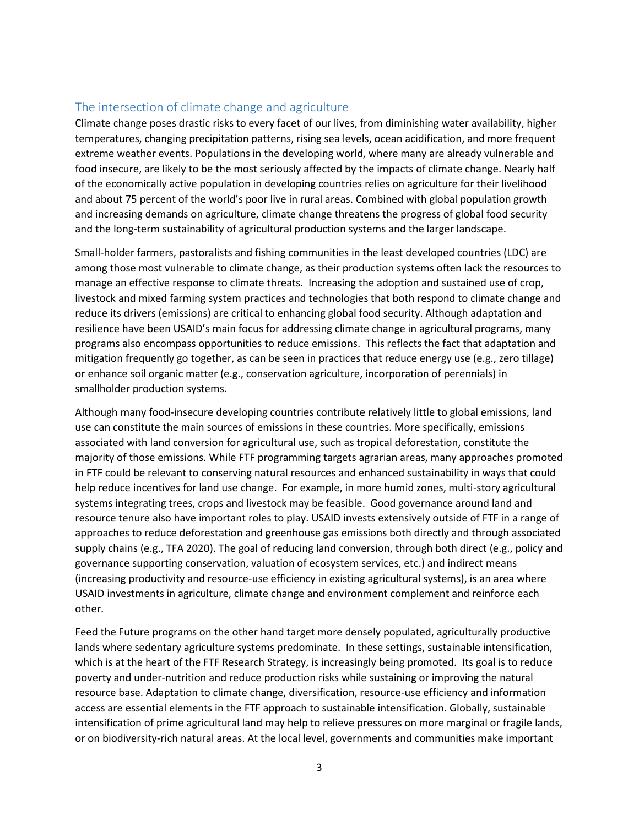## The intersection of climate change and agriculture

Climate change poses drastic risks to every facet of our lives, from diminishing water availability, higher temperatures, changing precipitation patterns, rising sea levels, ocean acidification, and more frequent extreme weather events. Populations in the developing world, where many are already vulnerable and food insecure, are likely to be the most seriously affected by the impacts of climate change. Nearly half of the economically active population in developing countries relies on agriculture for their livelihood and about 75 percent of the world's poor live in rural areas. Combined with global population growth and increasing demands on agriculture, climate change threatens the progress of global food security and the long-term sustainability of agricultural production systems and the larger landscape.

Small-holder farmers, pastoralists and fishing communities in the least developed countries (LDC) are among those most vulnerable to climate change, as their production systems often lack the resources to manage an effective response to climate threats. Increasing the adoption and sustained use of crop, livestock and mixed farming system practices and technologies that both respond to climate change and reduce its drivers (emissions) are critical to enhancing global food security. Although adaptation and resilience have been USAID's main focus for addressing climate change in agricultural programs, many programs also encompass opportunities to reduce emissions. This reflects the fact that adaptation and mitigation frequently go together, as can be seen in practices that reduce energy use (e.g., zero tillage) or enhance soil organic matter (e.g., conservation agriculture, incorporation of perennials) in smallholder production systems.

Although many food-insecure developing countries contribute relatively little to global emissions, land use can constitute the main sources of emissions in these countries. More specifically, emissions associated with land conversion for agricultural use, such as tropical deforestation, constitute the majority of those emissions. While FTF programming targets agrarian areas, many approaches promoted in FTF could be relevant to conserving natural resources and enhanced sustainability in ways that could help reduce incentives for land use change. For example, in more humid zones, multi-story agricultural systems integrating trees, crops and livestock may be feasible. Good governance around land and resource tenure also have important roles to play. USAID invests extensively outside of FTF in a range of approaches to reduce deforestation and greenhouse gas emissions both directly and through associated supply chains (e.g., TFA 2020). The goal of reducing land conversion, through both direct (e.g., policy and governance supporting conservation, valuation of ecosystem services, etc.) and indirect means (increasing productivity and resource-use efficiency in existing agricultural systems), is an area where USAID investments in agriculture, climate change and environment complement and reinforce each other.

Feed the Future programs on the other hand target more densely populated, agriculturally productive lands where sedentary agriculture systems predominate. In these settings, sustainable intensification, which is at the heart of the FTF Research Strategy, is increasingly being promoted. Its goal is to reduce poverty and under-nutrition and reduce production risks while sustaining or improving the natural resource base. Adaptation to climate change, diversification, resource-use efficiency and information access are essential elements in the FTF approach to sustainable intensification. Globally, sustainable intensification of prime agricultural land may help to relieve pressures on more marginal or fragile lands, or on biodiversity-rich natural areas. At the local level, governments and communities make important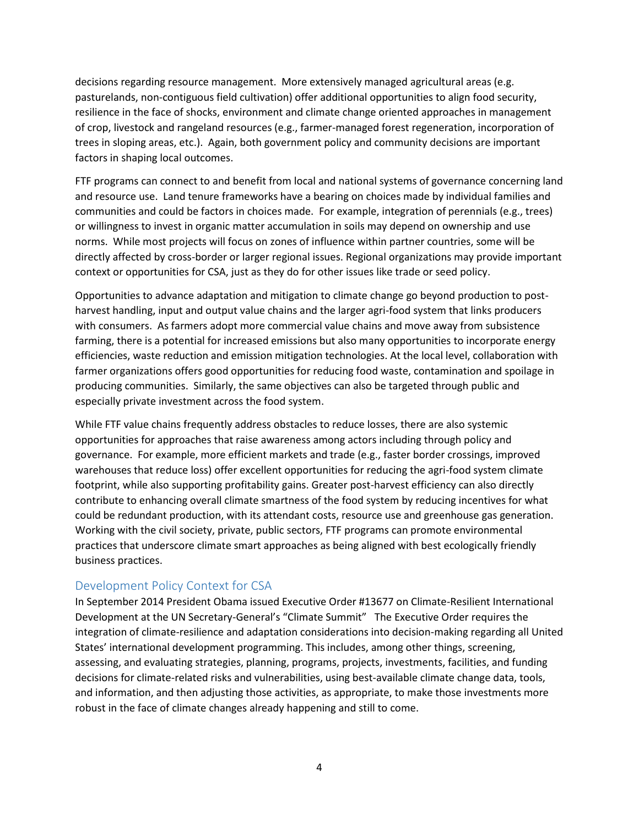decisions regarding resource management. More extensively managed agricultural areas (e.g. pasturelands, non-contiguous field cultivation) offer additional opportunities to align food security, resilience in the face of shocks, environment and climate change oriented approaches in management of crop, livestock and rangeland resources (e.g., farmer-managed forest regeneration, incorporation of trees in sloping areas, etc.). Again, both government policy and community decisions are important factors in shaping local outcomes.

FTF programs can connect to and benefit from local and national systems of governance concerning land and resource use. Land tenure frameworks have a bearing on choices made by individual families and communities and could be factors in choices made. For example, integration of perennials (e.g., trees) or willingness to invest in organic matter accumulation in soils may depend on ownership and use norms. While most projects will focus on zones of influence within partner countries, some will be directly affected by cross-border or larger regional issues. Regional organizations may provide important context or opportunities for CSA, just as they do for other issues like trade or seed policy.

Opportunities to advance adaptation and mitigation to climate change go beyond production to postharvest handling, input and output value chains and the larger agri-food system that links producers with consumers. As farmers adopt more commercial value chains and move away from subsistence farming, there is a potential for increased emissions but also many opportunities to incorporate energy efficiencies, waste reduction and emission mitigation technologies. At the local level, collaboration with farmer organizations offers good opportunities for reducing food waste, contamination and spoilage in producing communities. Similarly, the same objectives can also be targeted through public and especially private investment across the food system.

While FTF value chains frequently address obstacles to reduce losses, there are also systemic opportunities for approaches that raise awareness among actors including through policy and governance. For example, more efficient markets and trade (e.g., faster border crossings, improved warehouses that reduce loss) offer excellent opportunities for reducing the agri-food system climate footprint, while also supporting profitability gains. Greater post-harvest efficiency can also directly contribute to enhancing overall climate smartness of the food system by reducing incentives for what could be redundant production, with its attendant costs, resource use and greenhouse gas generation. Working with the civil society, private, public sectors, FTF programs can promote environmental practices that underscore climate smart approaches as being aligned with best ecologically friendly business practices.

#### Development Policy Context for CSA

In September 2014 President Obama issued Executive Order #13677 on Climate-Resilient International Development at the UN Secretary-General's "Climate Summit" The Executive Order requires the integration of climate-resilience and adaptation considerations into decision-making regarding all United States' international development programming. This includes, among other things, screening, assessing, and evaluating strategies, planning, programs, projects, investments, facilities, and funding decisions for climate-related risks and vulnerabilities, using best-available climate change data, tools, and information, and then adjusting those activities, as appropriate, to make those investments more robust in the face of climate changes already happening and still to come.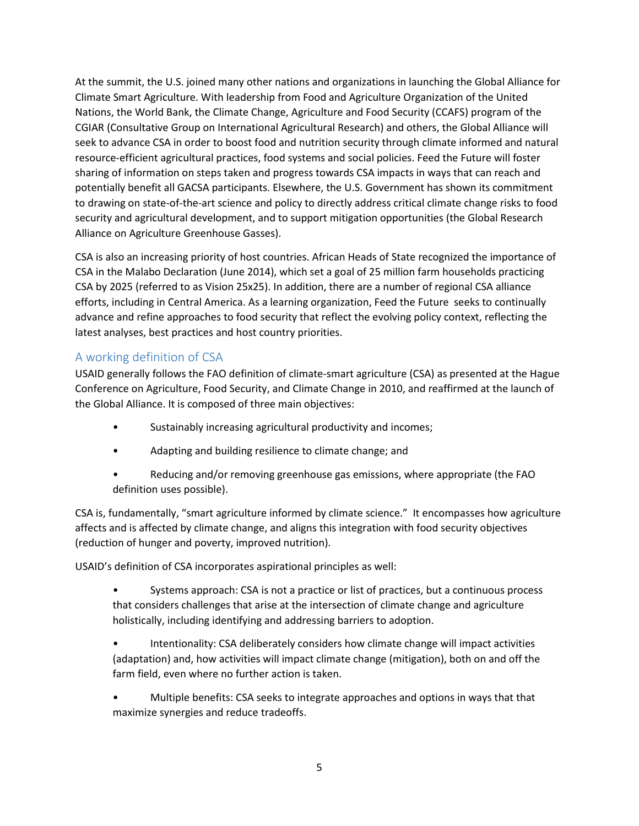At the summit, the U.S. joined many other nations and organizations in launching the Global Alliance for Climate Smart Agriculture. With leadership from Food and Agriculture Organization of the United Nations, the World Bank, the Climate Change, Agriculture and Food Security (CCAFS) program of the CGIAR (Consultative Group on International Agricultural Research) and others, the Global Alliance will seek to advance CSA in order to boost food and nutrition security through climate informed and natural resource-efficient agricultural practices, food systems and social policies. Feed the Future will foster sharing of information on steps taken and progress towards CSA impacts in ways that can reach and potentially benefit all GACSA participants. Elsewhere, the U.S. Government has shown its commitment to drawing on state-of-the-art science and policy to directly address critical climate change risks to food security and agricultural development, and to support mitigation opportunities (the Global Research Alliance on Agriculture Greenhouse Gasses).

CSA is also an increasing priority of host countries. African Heads of State recognized the importance of CSA in the Malabo Declaration (June 2014), which set a goal of 25 million farm households practicing CSA by 2025 (referred to as Vision 25x25). In addition, there are a number of regional CSA alliance efforts, including in Central America. As a learning organization, Feed the Future seeks to continually advance and refine approaches to food security that reflect the evolving policy context, reflecting the latest analyses, best practices and host country priorities.

## A working definition of CSA

USAID generally follows the FAO definition of climate-smart agriculture (CSA) as presented at the Hague Conference on Agriculture, Food Security, and Climate Change in 2010, and reaffirmed at the launch of the Global Alliance. It is composed of three main objectives:

- Sustainably increasing agricultural productivity and incomes;
- Adapting and building resilience to climate change; and
- Reducing and/or removing greenhouse gas emissions, where appropriate (the FAO definition uses possible).

CSA is, fundamentally, "smart agriculture informed by climate science." It encompasses how agriculture affects and is affected by climate change, and aligns this integration with food security objectives (reduction of hunger and poverty, improved nutrition).

USAID's definition of CSA incorporates aspirational principles as well:

• Systems approach: CSA is not a practice or list of practices, but a continuous process that considers challenges that arise at the intersection of climate change and agriculture holistically, including identifying and addressing barriers to adoption.

• Intentionality: CSA deliberately considers how climate change will impact activities (adaptation) and, how activities will impact climate change (mitigation), both on and off the farm field, even where no further action is taken.

• Multiple benefits: CSA seeks to integrate approaches and options in ways that that maximize synergies and reduce tradeoffs.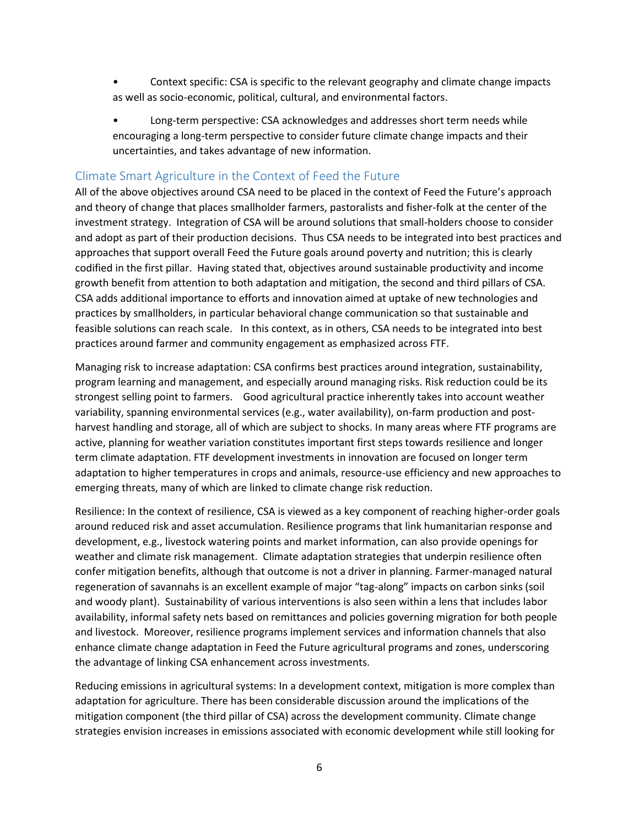- Context specific: CSA is specific to the relevant geography and climate change impacts as well as socio-economic, political, cultural, and environmental factors.
- Long-term perspective: CSA acknowledges and addresses short term needs while encouraging a long-term perspective to consider future climate change impacts and their uncertainties, and takes advantage of new information.

## Climate Smart Agriculture in the Context of Feed the Future

All of the above objectives around CSA need to be placed in the context of Feed the Future's approach and theory of change that places smallholder farmers, pastoralists and fisher-folk at the center of the investment strategy. Integration of CSA will be around solutions that small-holders choose to consider and adopt as part of their production decisions. Thus CSA needs to be integrated into best practices and approaches that support overall Feed the Future goals around poverty and nutrition; this is clearly codified in the first pillar. Having stated that, objectives around sustainable productivity and income growth benefit from attention to both adaptation and mitigation, the second and third pillars of CSA. CSA adds additional importance to efforts and innovation aimed at uptake of new technologies and practices by smallholders, in particular behavioral change communication so that sustainable and feasible solutions can reach scale. In this context, as in others, CSA needs to be integrated into best practices around farmer and community engagement as emphasized across FTF.

Managing risk to increase adaptation: CSA confirms best practices around integration, sustainability, program learning and management, and especially around managing risks. Risk reduction could be its strongest selling point to farmers. Good agricultural practice inherently takes into account weather variability, spanning environmental services (e.g., water availability), on-farm production and postharvest handling and storage, all of which are subject to shocks. In many areas where FTF programs are active, planning for weather variation constitutes important first steps towards resilience and longer term climate adaptation. FTF development investments in innovation are focused on longer term adaptation to higher temperatures in crops and animals, resource-use efficiency and new approaches to emerging threats, many of which are linked to climate change risk reduction.

Resilience: In the context of resilience, CSA is viewed as a key component of reaching higher-order goals around reduced risk and asset accumulation. Resilience programs that link humanitarian response and development, e.g., livestock watering points and market information, can also provide openings for weather and climate risk management. Climate adaptation strategies that underpin resilience often confer mitigation benefits, although that outcome is not a driver in planning. Farmer-managed natural regeneration of savannahs is an excellent example of major "tag-along" impacts on carbon sinks (soil and woody plant). Sustainability of various interventions is also seen within a lens that includes labor availability, informal safety nets based on remittances and policies governing migration for both people and livestock. Moreover, resilience programs implement services and information channels that also enhance climate change adaptation in Feed the Future agricultural programs and zones, underscoring the advantage of linking CSA enhancement across investments.

Reducing emissions in agricultural systems: In a development context, mitigation is more complex than adaptation for agriculture. There has been considerable discussion around the implications of the mitigation component (the third pillar of CSA) across the development community. Climate change strategies envision increases in emissions associated with economic development while still looking for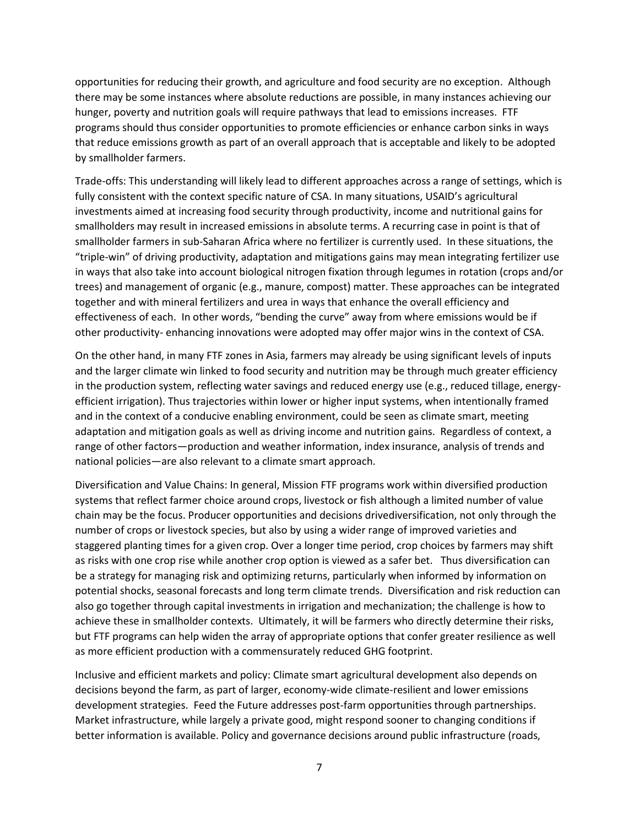opportunities for reducing their growth, and agriculture and food security are no exception. Although there may be some instances where absolute reductions are possible, in many instances achieving our hunger, poverty and nutrition goals will require pathways that lead to emissions increases. FTF programs should thus consider opportunities to promote efficiencies or enhance carbon sinks in ways that reduce emissions growth as part of an overall approach that is acceptable and likely to be adopted by smallholder farmers.

Trade-offs: This understanding will likely lead to different approaches across a range of settings, which is fully consistent with the context specific nature of CSA. In many situations, USAID's agricultural investments aimed at increasing food security through productivity, income and nutritional gains for smallholders may result in increased emissions in absolute terms. A recurring case in point is that of smallholder farmers in sub-Saharan Africa where no fertilizer is currently used. In these situations, the "triple-win" of driving productivity, adaptation and mitigations gains may mean integrating fertilizer use in ways that also take into account biological nitrogen fixation through legumes in rotation (crops and/or trees) and management of organic (e.g., manure, compost) matter. These approaches can be integrated together and with mineral fertilizers and urea in ways that enhance the overall efficiency and effectiveness of each. In other words, "bending the curve" away from where emissions would be if other productivity- enhancing innovations were adopted may offer major wins in the context of CSA.

On the other hand, in many FTF zones in Asia, farmers may already be using significant levels of inputs and the larger climate win linked to food security and nutrition may be through much greater efficiency in the production system, reflecting water savings and reduced energy use (e.g., reduced tillage, energyefficient irrigation). Thus trajectories within lower or higher input systems, when intentionally framed and in the context of a conducive enabling environment, could be seen as climate smart, meeting adaptation and mitigation goals as well as driving income and nutrition gains. Regardless of context, a range of other factors—production and weather information, index insurance, analysis of trends and national policies—are also relevant to a climate smart approach.

Diversification and Value Chains: In general, Mission FTF programs work within diversified production systems that reflect farmer choice around crops, livestock or fish although a limited number of value chain may be the focus. Producer opportunities and decisions drivediversification, not only through the number of crops or livestock species, but also by using a wider range of improved varieties and staggered planting times for a given crop. Over a longer time period, crop choices by farmers may shift as risks with one crop rise while another crop option is viewed as a safer bet. Thus diversification can be a strategy for managing risk and optimizing returns, particularly when informed by information on potential shocks, seasonal forecasts and long term climate trends. Diversification and risk reduction can also go together through capital investments in irrigation and mechanization; the challenge is how to achieve these in smallholder contexts. Ultimately, it will be farmers who directly determine their risks, but FTF programs can help widen the array of appropriate options that confer greater resilience as well as more efficient production with a commensurately reduced GHG footprint.

Inclusive and efficient markets and policy: Climate smart agricultural development also depends on decisions beyond the farm, as part of larger, economy-wide climate-resilient and lower emissions development strategies. Feed the Future addresses post-farm opportunities through partnerships. Market infrastructure, while largely a private good, might respond sooner to changing conditions if better information is available. Policy and governance decisions around public infrastructure (roads,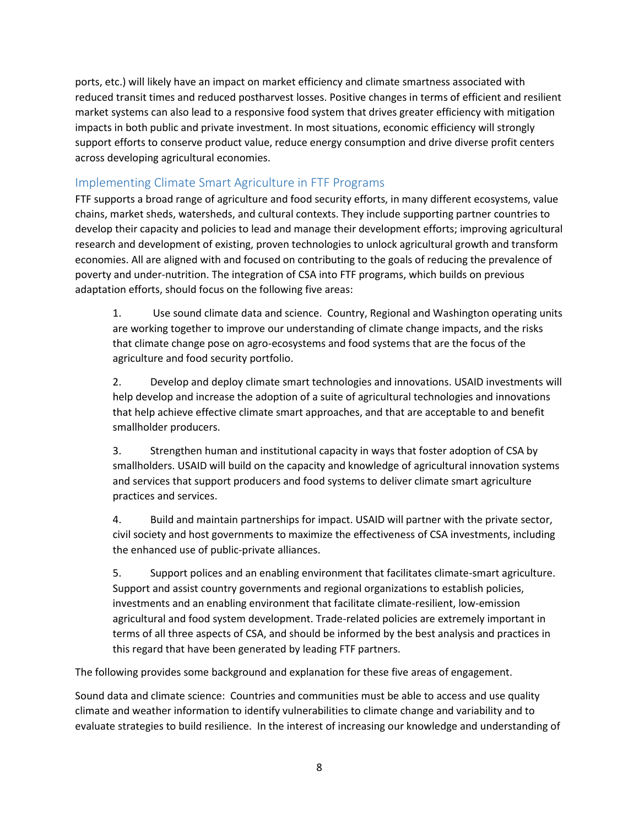ports, etc.) will likely have an impact on market efficiency and climate smartness associated with reduced transit times and reduced postharvest losses. Positive changes in terms of efficient and resilient market systems can also lead to a responsive food system that drives greater efficiency with mitigation impacts in both public and private investment. In most situations, economic efficiency will strongly support efforts to conserve product value, reduce energy consumption and drive diverse profit centers across developing agricultural economies.

# Implementing Climate Smart Agriculture in FTF Programs

FTF supports a broad range of agriculture and food security efforts, in many different ecosystems, value chains, market sheds, watersheds, and cultural contexts. They include supporting partner countries to develop their capacity and policies to lead and manage their development efforts; improving agricultural research and development of existing, proven technologies to unlock agricultural growth and transform economies. All are aligned with and focused on contributing to the goals of reducing the prevalence of poverty and under-nutrition. The integration of CSA into FTF programs, which builds on previous adaptation efforts, should focus on the following five areas:

1. Use sound climate data and science. Country, Regional and Washington operating units are working together to improve our understanding of climate change impacts, and the risks that climate change pose on agro-ecosystems and food systems that are the focus of the agriculture and food security portfolio.

2. Develop and deploy climate smart technologies and innovations. USAID investments will help develop and increase the adoption of a suite of agricultural technologies and innovations that help achieve effective climate smart approaches, and that are acceptable to and benefit smallholder producers.

3. Strengthen human and institutional capacity in ways that foster adoption of CSA by smallholders. USAID will build on the capacity and knowledge of agricultural innovation systems and services that support producers and food systems to deliver climate smart agriculture practices and services.

4. Build and maintain partnerships for impact. USAID will partner with the private sector, civil society and host governments to maximize the effectiveness of CSA investments, including the enhanced use of public-private alliances.

5. Support polices and an enabling environment that facilitates climate-smart agriculture. Support and assist country governments and regional organizations to establish policies, investments and an enabling environment that facilitate climate-resilient, low-emission agricultural and food system development. Trade-related policies are extremely important in terms of all three aspects of CSA, and should be informed by the best analysis and practices in this regard that have been generated by leading FTF partners.

The following provides some background and explanation for these five areas of engagement.

Sound data and climate science: Countries and communities must be able to access and use quality climate and weather information to identify vulnerabilities to climate change and variability and to evaluate strategies to build resilience. In the interest of increasing our knowledge and understanding of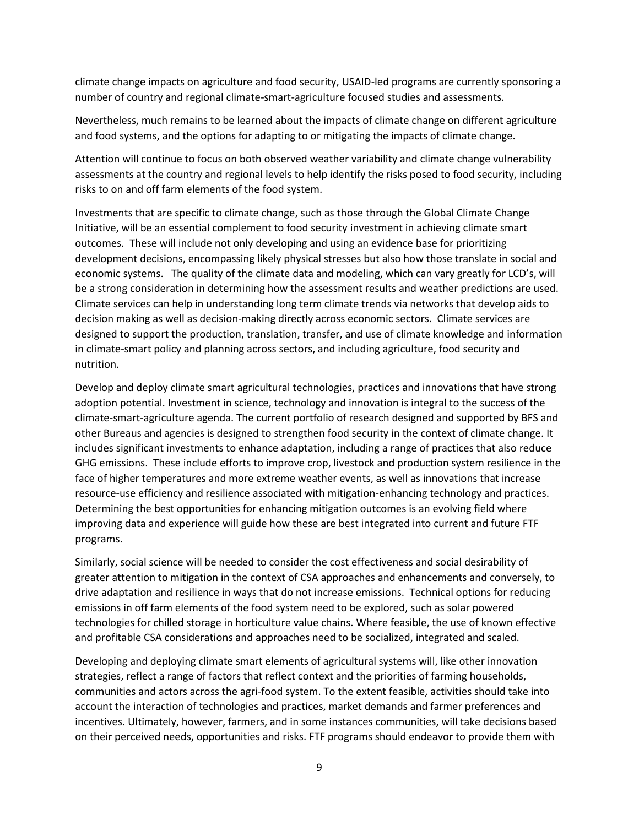climate change impacts on agriculture and food security, USAID-led programs are currently sponsoring a number of country and regional climate-smart-agriculture focused studies and assessments.

Nevertheless, much remains to be learned about the impacts of climate change on different agriculture and food systems, and the options for adapting to or mitigating the impacts of climate change.

Attention will continue to focus on both observed weather variability and climate change vulnerability assessments at the country and regional levels to help identify the risks posed to food security, including risks to on and off farm elements of the food system.

Investments that are specific to climate change, such as those through the Global Climate Change Initiative, will be an essential complement to food security investment in achieving climate smart outcomes. These will include not only developing and using an evidence base for prioritizing development decisions, encompassing likely physical stresses but also how those translate in social and economic systems. The quality of the climate data and modeling, which can vary greatly for LCD's, will be a strong consideration in determining how the assessment results and weather predictions are used. Climate services can help in understanding long term climate trends via networks that develop aids to decision making as well as decision-making directly across economic sectors. Climate services are designed to support the production, translation, transfer, and use of climate knowledge and information in climate-smart policy and planning across sectors, and including agriculture, food security and nutrition.

Develop and deploy climate smart agricultural technologies, practices and innovations that have strong adoption potential. Investment in science, technology and innovation is integral to the success of the climate-smart-agriculture agenda. The current portfolio of research designed and supported by BFS and other Bureaus and agencies is designed to strengthen food security in the context of climate change. It includes significant investments to enhance adaptation, including a range of practices that also reduce GHG emissions. These include efforts to improve crop, livestock and production system resilience in the face of higher temperatures and more extreme weather events, as well as innovations that increase resource-use efficiency and resilience associated with mitigation-enhancing technology and practices. Determining the best opportunities for enhancing mitigation outcomes is an evolving field where improving data and experience will guide how these are best integrated into current and future FTF programs.

Similarly, social science will be needed to consider the cost effectiveness and social desirability of greater attention to mitigation in the context of CSA approaches and enhancements and conversely, to drive adaptation and resilience in ways that do not increase emissions. Technical options for reducing emissions in off farm elements of the food system need to be explored, such as solar powered technologies for chilled storage in horticulture value chains. Where feasible, the use of known effective and profitable CSA considerations and approaches need to be socialized, integrated and scaled.

Developing and deploying climate smart elements of agricultural systems will, like other innovation strategies, reflect a range of factors that reflect context and the priorities of farming households, communities and actors across the agri-food system. To the extent feasible, activities should take into account the interaction of technologies and practices, market demands and farmer preferences and incentives. Ultimately, however, farmers, and in some instances communities, will take decisions based on their perceived needs, opportunities and risks. FTF programs should endeavor to provide them with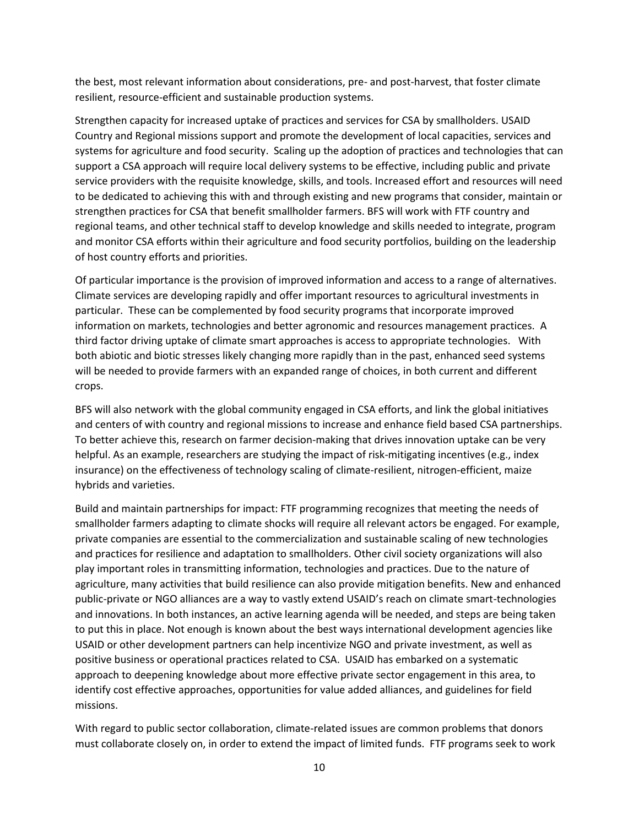the best, most relevant information about considerations, pre- and post-harvest, that foster climate resilient, resource-efficient and sustainable production systems.

Strengthen capacity for increased uptake of practices and services for CSA by smallholders. USAID Country and Regional missions support and promote the development of local capacities, services and systems for agriculture and food security. Scaling up the adoption of practices and technologies that can support a CSA approach will require local delivery systems to be effective, including public and private service providers with the requisite knowledge, skills, and tools. Increased effort and resources will need to be dedicated to achieving this with and through existing and new programs that consider, maintain or strengthen practices for CSA that benefit smallholder farmers. BFS will work with FTF country and regional teams, and other technical staff to develop knowledge and skills needed to integrate, program and monitor CSA efforts within their agriculture and food security portfolios, building on the leadership of host country efforts and priorities.

Of particular importance is the provision of improved information and access to a range of alternatives. Climate services are developing rapidly and offer important resources to agricultural investments in particular. These can be complemented by food security programs that incorporate improved information on markets, technologies and better agronomic and resources management practices. A third factor driving uptake of climate smart approaches is access to appropriate technologies. With both abiotic and biotic stresses likely changing more rapidly than in the past, enhanced seed systems will be needed to provide farmers with an expanded range of choices, in both current and different crops.

BFS will also network with the global community engaged in CSA efforts, and link the global initiatives and centers of with country and regional missions to increase and enhance field based CSA partnerships. To better achieve this, research on farmer decision-making that drives innovation uptake can be very helpful. As an example, researchers are studying the impact of risk-mitigating incentives (e.g., index insurance) on the effectiveness of technology scaling of climate-resilient, nitrogen-efficient, maize hybrids and varieties.

Build and maintain partnerships for impact: FTF programming recognizes that meeting the needs of smallholder farmers adapting to climate shocks will require all relevant actors be engaged. For example, private companies are essential to the commercialization and sustainable scaling of new technologies and practices for resilience and adaptation to smallholders. Other civil society organizations will also play important roles in transmitting information, technologies and practices. Due to the nature of agriculture, many activities that build resilience can also provide mitigation benefits. New and enhanced public-private or NGO alliances are a way to vastly extend USAID's reach on climate smart-technologies and innovations. In both instances, an active learning agenda will be needed, and steps are being taken to put this in place. Not enough is known about the best ways international development agencies like USAID or other development partners can help incentivize NGO and private investment, as well as positive business or operational practices related to CSA. USAID has embarked on a systematic approach to deepening knowledge about more effective private sector engagement in this area, to identify cost effective approaches, opportunities for value added alliances, and guidelines for field missions.

With regard to public sector collaboration, climate-related issues are common problems that donors must collaborate closely on, in order to extend the impact of limited funds. FTF programs seek to work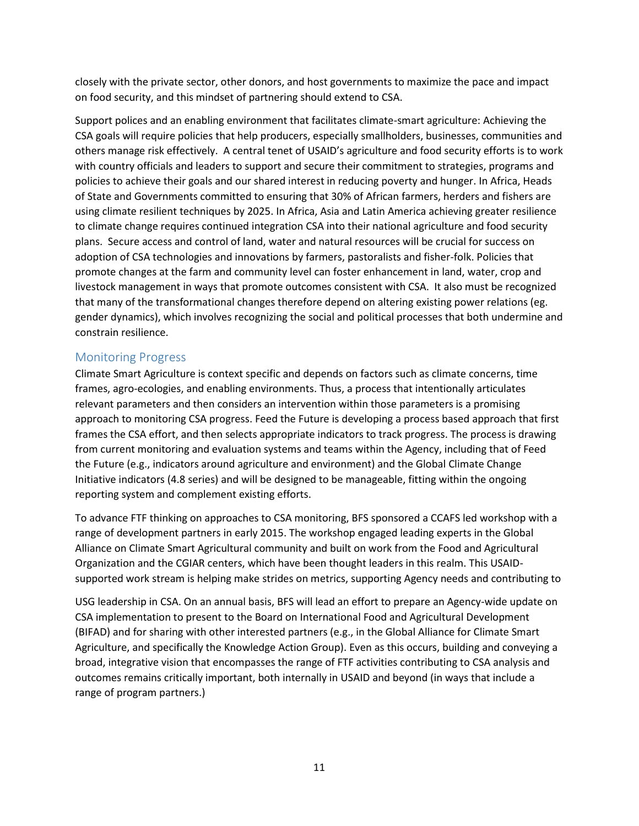closely with the private sector, other donors, and host governments to maximize the pace and impact on food security, and this mindset of partnering should extend to CSA.

Support polices and an enabling environment that facilitates climate-smart agriculture: Achieving the CSA goals will require policies that help producers, especially smallholders, businesses, communities and others manage risk effectively. A central tenet of USAID's agriculture and food security efforts is to work with country officials and leaders to support and secure their commitment to strategies, programs and policies to achieve their goals and our shared interest in reducing poverty and hunger. In Africa, Heads of State and Governments committed to ensuring that 30% of African farmers, herders and fishers are using climate resilient techniques by 2025. In Africa, Asia and Latin America achieving greater resilience to climate change requires continued integration CSA into their national agriculture and food security plans. Secure access and control of land, water and natural resources will be crucial for success on adoption of CSA technologies and innovations by farmers, pastoralists and fisher-folk. Policies that promote changes at the farm and community level can foster enhancement in land, water, crop and livestock management in ways that promote outcomes consistent with CSA. It also must be recognized that many of the transformational changes therefore depend on altering existing power relations (eg. gender dynamics), which involves recognizing the social and political processes that both undermine and constrain resilience.

## Monitoring Progress

Climate Smart Agriculture is context specific and depends on factors such as climate concerns, time frames, agro-ecologies, and enabling environments. Thus, a process that intentionally articulates relevant parameters and then considers an intervention within those parameters is a promising approach to monitoring CSA progress. Feed the Future is developing a process based approach that first frames the CSA effort, and then selects appropriate indicators to track progress. The process is drawing from current monitoring and evaluation systems and teams within the Agency, including that of Feed the Future (e.g., indicators around agriculture and environment) and the Global Climate Change Initiative indicators (4.8 series) and will be designed to be manageable, fitting within the ongoing reporting system and complement existing efforts.

To advance FTF thinking on approaches to CSA monitoring, BFS sponsored a CCAFS led workshop with a range of development partners in early 2015. The workshop engaged leading experts in the Global Alliance on Climate Smart Agricultural community and built on work from the Food and Agricultural Organization and the CGIAR centers, which have been thought leaders in this realm. This USAIDsupported work stream is helping make strides on metrics, supporting Agency needs and contributing to

USG leadership in CSA. On an annual basis, BFS will lead an effort to prepare an Agency-wide update on CSA implementation to present to the Board on International Food and Agricultural Development (BIFAD) and for sharing with other interested partners (e.g., in the Global Alliance for Climate Smart Agriculture, and specifically the Knowledge Action Group). Even as this occurs, building and conveying a broad, integrative vision that encompasses the range of FTF activities contributing to CSA analysis and outcomes remains critically important, both internally in USAID and beyond (in ways that include a range of program partners.)